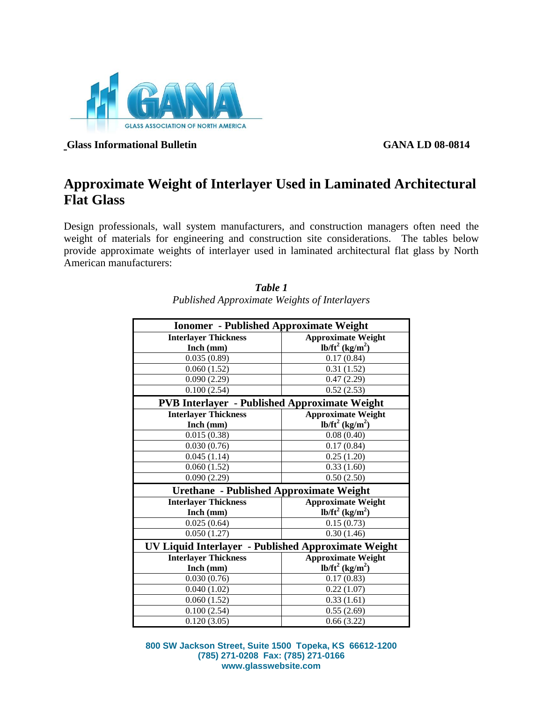

**Glass Informational Bulletin GANA LD 08-0814**

## **Approximate Weight of Interlayer Used in Laminated Architectural Flat Glass**

Design professionals, wall system manufacturers, and construction managers often need the weight of materials for engineering and construction site considerations. The tables below provide approximate weights of interlayer used in laminated architectural flat glass by North American manufacturers:

| <b>Ionomer</b> - Published Approximate Weight        |                                |  |
|------------------------------------------------------|--------------------------------|--|
| <b>Interlayer Thickness</b>                          | <b>Approximate Weight</b>      |  |
| Inch (mm)                                            | $lb/ft^2$ (kg/m <sup>2</sup> ) |  |
| 0.035(0.89)                                          | 0.17(0.84)                     |  |
| 0.060(1.52)                                          | 0.31(1.52)                     |  |
| 0.090(2.29)                                          | 0.47(2.29)                     |  |
| 0.100(2.54)                                          | 0.52(2.53)                     |  |
| <b>PVB Interlayer - Published Approximate Weight</b> |                                |  |
| <b>Interlayer Thickness</b>                          | <b>Approximate Weight</b>      |  |
| Inch (mm)                                            | $lb/ft^2$ (kg/m <sup>2</sup> ) |  |
| 0.015(0.38)                                          | 0.08(0.40)                     |  |
| 0.030(0.76)                                          | 0.17(0.84)                     |  |
| 0.045(1.14)                                          | 0.25(1.20)                     |  |
| 0.060(1.52)                                          | 0.33(1.60)                     |  |
| 0.090(2.29)                                          | 0.50(2.50)                     |  |
| <b>Urethane</b> - Published Approximate Weight       |                                |  |
| <b>Interlayer Thickness</b>                          | <b>Approximate Weight</b>      |  |
| Inch (mm)                                            | $lb/ft^2$ (kg/m <sup>2</sup> ) |  |
| 0.025(0.64)                                          | 0.15(0.73)                     |  |
| 0.050(1.27)                                          | 0.30(1.46)                     |  |
| UV Liquid Interlayer - Published Approximate Weight  |                                |  |
| <b>Interlayer Thickness</b>                          | <b>Approximate Weight</b>      |  |
| Inch (mm)                                            | $lb/ft^2$ (kg/m <sup>2</sup> ) |  |
| 0.030(0.76)                                          | 0.17(0.83)                     |  |
| 0.040(1.02)                                          | 0.22(1.07)                     |  |
| $\overline{0.0}60(1.52)$                             | 0.33(1.61)                     |  |
| 0.100(2.54)                                          | 0.55(2.69)                     |  |
| 0.120(3.05)                                          | 0.66(3.22)                     |  |

*Table 1 Published Approximate Weights of Interlayers*

**800 SW Jackson Street, Suite 1500 Topeka, KS 66612-1200 (785) 271-0208 Fax: (785) 271-0166 www.glasswebsite.com**